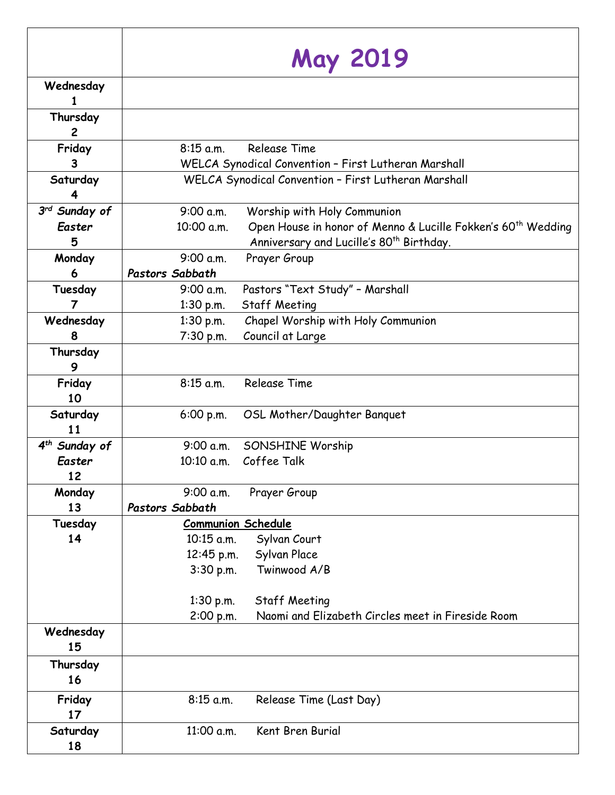|                           | <b>May 2019</b>                                      |                                                                          |  |
|---------------------------|------------------------------------------------------|--------------------------------------------------------------------------|--|
| Wednesday                 |                                                      |                                                                          |  |
| 1                         |                                                      |                                                                          |  |
| Thursday                  |                                                      |                                                                          |  |
| $\overline{2}$            |                                                      |                                                                          |  |
| Friday                    | $8:15$ a.m.                                          | <b>Release Time</b>                                                      |  |
| 3                         | WELCA Synodical Convention - First Lutheran Marshall |                                                                          |  |
| Saturday<br>4             | WELCA Synodical Convention - First Lutheran Marshall |                                                                          |  |
| 3rd Sunday of             | 9:00 a.m.                                            | Worship with Holy Communion                                              |  |
| Easter                    | 10:00 a.m.                                           | Open House in honor of Menno & Lucille Fokken's 60 <sup>th</sup> Wedding |  |
| 5                         |                                                      | Anniversary and Lucille's 80 <sup>th</sup> Birthday.                     |  |
| Monday                    | 9:00 a.m.                                            | Prayer Group                                                             |  |
| 6                         | Pastors Sabbath                                      |                                                                          |  |
| Tuesday                   | 9:00 a.m.                                            | Pastors "Text Study" - Marshall                                          |  |
| 7                         | $1:30$ p.m.                                          | <b>Staff Meeting</b>                                                     |  |
| Wednesday                 | $1:30$ p.m.                                          | Chapel Worship with Holy Communion                                       |  |
| 8                         | 7:30 p.m.                                            | Council at Large                                                         |  |
| Thursday<br>9             |                                                      |                                                                          |  |
| Friday<br>10              | $8:15$ a.m.                                          | <b>Release Time</b>                                                      |  |
| Saturday<br>11            | 6:00 p.m.                                            | OSL Mother/Daughter Banquet                                              |  |
| 4 <sup>th</sup> Sunday of |                                                      | 9:00 a.m. SONSHINE Worship                                               |  |
| Easter<br>12              |                                                      | 10:10 a.m. Coffee Talk                                                   |  |
| Monday                    | 9:00 a.m.                                            | Prayer Group                                                             |  |
| 13                        | Pastors Sabbath                                      |                                                                          |  |
| Tuesday                   | <b>Communion Schedule</b>                            |                                                                          |  |
| 14                        | 10:15 a.m.                                           | Sylvan Court                                                             |  |
|                           | 12:45 p.m.                                           | Sylvan Place                                                             |  |
|                           | $3:30$ p.m.                                          | Twinwood A/B                                                             |  |
|                           | $1:30$ p.m.                                          | <b>Staff Meeting</b>                                                     |  |
|                           | 2:00 p.m.                                            | Naomi and Elizabeth Circles meet in Fireside Room                        |  |
| Wednesday<br>15           |                                                      |                                                                          |  |
| Thursday<br>16            |                                                      |                                                                          |  |
| Friday<br>17              | 8:15 a.m.                                            | Release Time (Last Day)                                                  |  |
| Saturday<br>18            | 11:00 a.m.                                           | Kent Bren Burial                                                         |  |